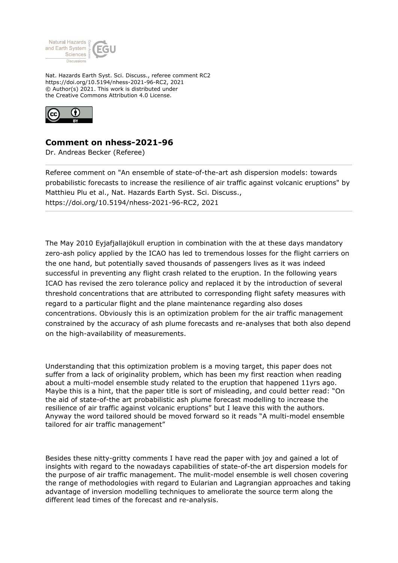

Nat. Hazards Earth Syst. Sci. Discuss., referee comment RC2 https://doi.org/10.5194/nhess-2021-96-RC2, 2021 © Author(s) 2021. This work is distributed under the Creative Commons Attribution 4.0 License.



## **Comment on nhess-2021-96**

Dr. Andreas Becker (Referee)

Referee comment on "An ensemble of state-of-the-art ash dispersion models: towards probabilistic forecasts to increase the resilience of air traffic against volcanic eruptions" by Matthieu Plu et al., Nat. Hazards Earth Syst. Sci. Discuss., https://doi.org/10.5194/nhess-2021-96-RC2, 2021

The May 2010 Eyjafjallajökull eruption in combination with the at these days mandatory zero-ash policy applied by the ICAO has led to tremendous losses for the flight carriers on the one hand, but potentially saved thousands of passengers lives as it was indeed successful in preventing any flight crash related to the eruption. In the following years ICAO has revised the zero tolerance policy and replaced it by the introduction of several threshold concentrations that are attributed to corresponding flight safety measures with regard to a particular flight and the plane maintenance regarding also doses concentrations. Obviously this is an optimization problem for the air traffic management constrained by the accuracy of ash plume forecasts and re-analyses that both also depend on the high-availability of measurements.

Understanding that this optimization problem is a moving target, this paper does not suffer from a lack of originality problem, which has been my first reaction when reading about a multi-model ensemble study related to the eruption that happened 11yrs ago. Maybe this is a hint, that the paper title is sort of misleading, and could better read: "On the aid of state-of-the art probabilistic ash plume forecast modelling to increase the resilience of air traffic against volcanic eruptions" but I leave this with the authors. Anyway the word tailored should be moved forward so it reads "A multi-model ensemble tailored for air traffic management"

Besides these nitty-gritty comments I have read the paper with joy and gained a lot of insights with regard to the nowadays capabilities of state-of-the art dispersion models for the purpose of air traffic management. The mulit-model ensemble is well chosen covering the range of methodologies with regard to Eularian and Lagrangian approaches and taking advantage of inversion modelling techniques to ameliorate the source term along the different lead times of the forecast and re-analysis.